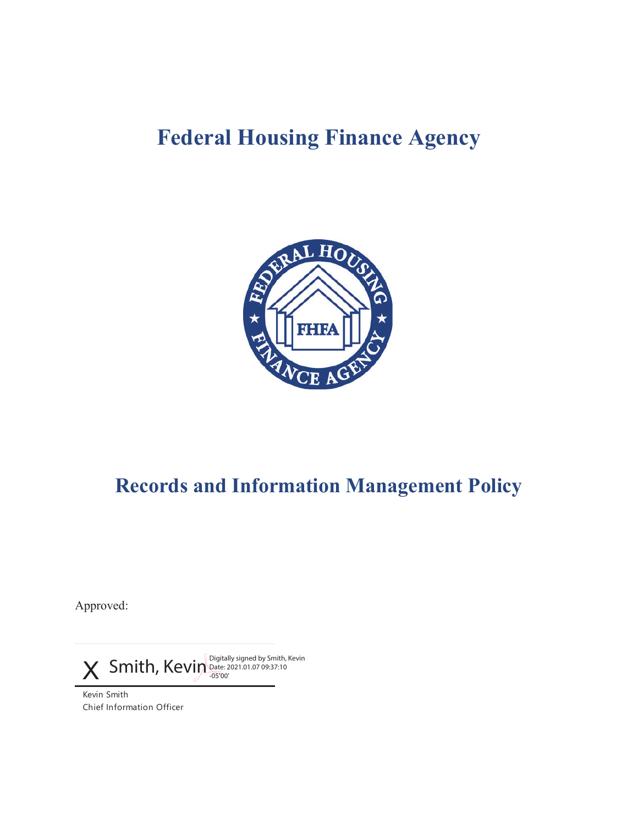# **Federal Housing Finance Agency**



## **Records and Information Management Policy**

Approved:

 $\boldsymbol{\chi}$  Smith, Kevin Digitally signed by Smith, Kevin -05'00'

Kevin Smith Chief Information Officer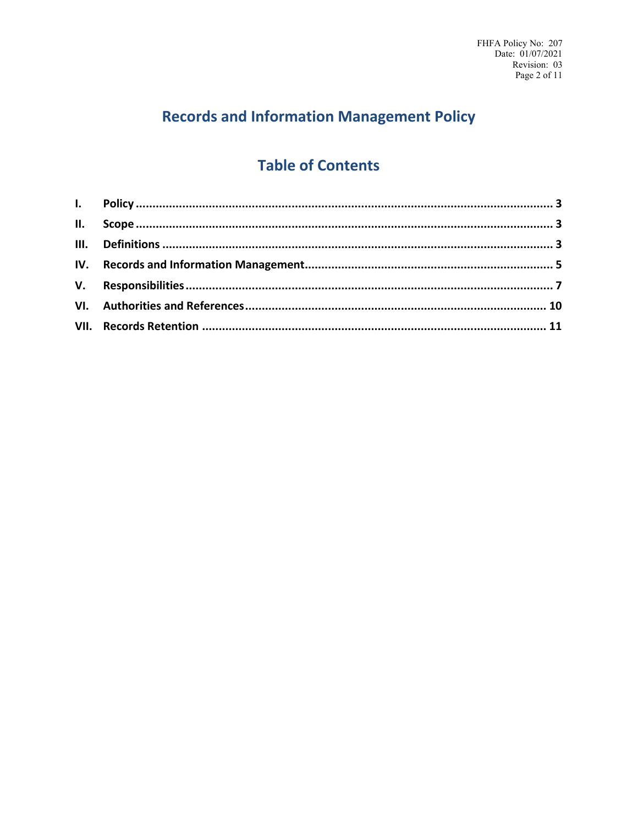## **Records and Information Management Policy**

### **Table of Contents**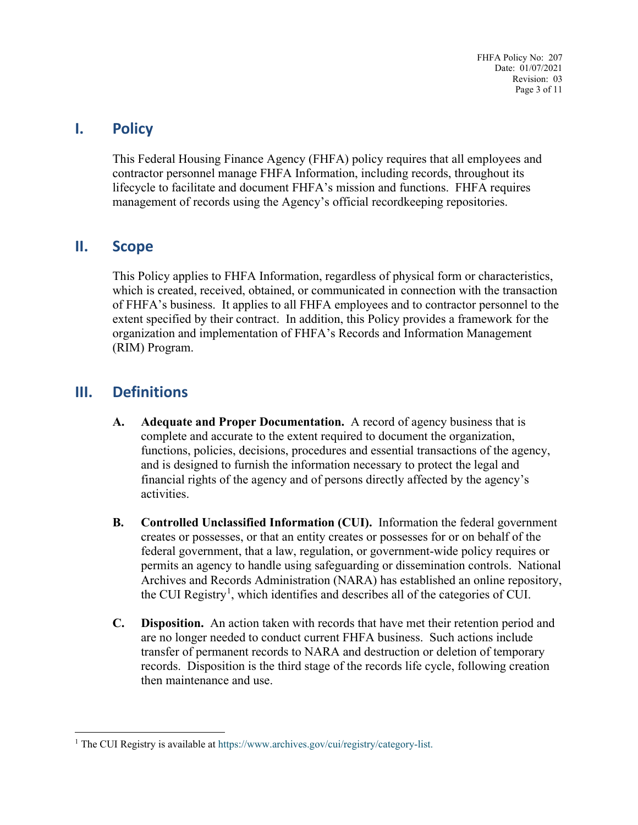FHFA Policy No: 207 Date: 01/07/2021 Revision: 03 Page 3 of 11

#### <span id="page-2-0"></span>**I. Policy**

This Federal Housing Finance Agency (FHFA) policy requires that all employees and contractor personnel manage FHFA Information, including records, throughout its lifecycle to facilitate and document FHFA's mission and functions. FHFA requires management of records using the Agency's official recordkeeping repositories.

#### <span id="page-2-1"></span>**II. Scope**

This Policy applies to FHFA Information, regardless of physical form or characteristics, which is created, received, obtained, or communicated in connection with the transaction of FHFA's business. It applies to all FHFA employees and to contractor personnel to the extent specified by their contract. In addition, this Policy provides a framework for the organization and implementation of FHFA's Records and Information Management (RIM) Program.

#### <span id="page-2-2"></span>**III. Definitions**

- **A. Adequate and Proper Documentation.** A record of agency business that is complete and accurate to the extent required to document the organization, functions, policies, decisions, procedures and essential transactions of the agency, and is designed to furnish the information necessary to protect the legal and financial rights of the agency and of persons directly affected by the agency's activities.
- **B. Controlled Unclassified Information (CUI).** Information the federal government creates or possesses, or that an entity creates or possesses for or on behalf of the federal government, that a law, regulation, or government-wide policy requires or permits an agency to handle using safeguarding or dissemination controls. National Archives and Records Administration (NARA) has established an online repository, the CUI Registry<sup>[1](#page-2-3)</sup>, which identifies and describes all of the categories of CUI.
- **C. Disposition.** An action taken with records that have met their retention period and are no longer needed to conduct current FHFA business. Such actions include transfer of permanent records to NARA and destruction or deletion of temporary records. Disposition is the third stage of the records life cycle, following creation then maintenance and use.

<span id="page-2-3"></span><sup>&</sup>lt;sup>1</sup> The CUI Registry is available at [https://www.archives.gov/cui/registry/category-list.](https://www.archives.gov/cui/registry/category-list)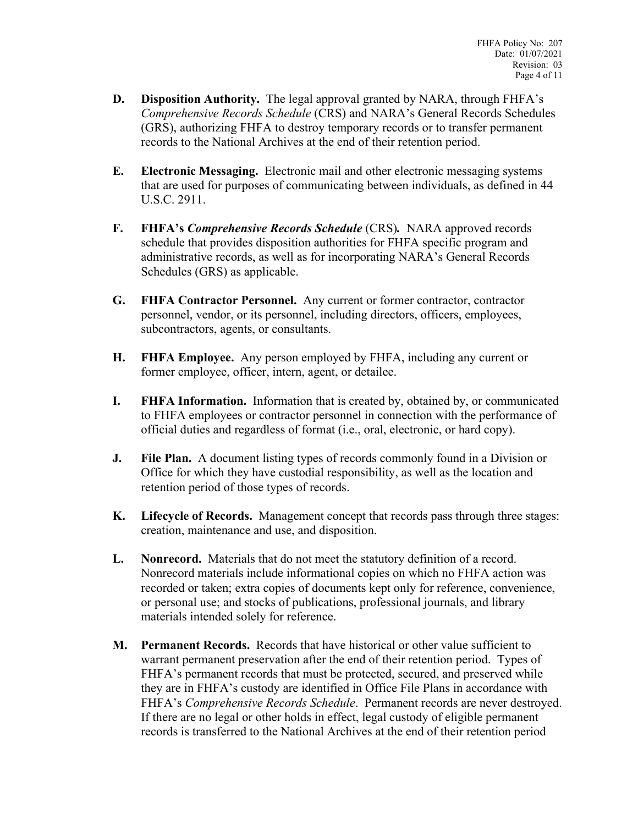- **D. Disposition Authority.** The legal approval granted by NARA, through FHFA's *[Comprehensive Records Schedule](http://intranet.fhfa.gov/downloader.ashx?objectid=3492095)* (CRS) and NARA's General Records Schedules (GRS), authorizing FHFA to destroy temporary records or to transfer permanent records to the National Archives at the end of their retention period.
- **E. Electronic Messaging.** Electronic mail and other electronic messaging systems that are used for purposes of communicating between individuals, as defined in 44 U.S.C. 2911.
- **F. FHFA's** *Comprehensive Records Schedule* (CRS)*.* NARA approved records schedule that provides disposition authorities for FHFA specific program and administrative records, as well as for incorporating NARA's General Records Schedules (GRS) as applicable.
- **G. FHFA Contractor Personnel.** Any current or former contractor, contractor personnel, vendor, or its personnel, including directors, officers, employees, subcontractors, agents, or consultants.
- **H. FHFA Employee.** Any person employed by FHFA, including any current or former employee, officer, intern, agent, or detailee.
- **I. FHFA Information.** Information that is created by, obtained by, or communicated to FHFA employees or contractor personnel in connection with the performance of official duties and regardless of format (i.e., oral, electronic, or hard copy).
- **J. File Plan.** A document listing types of records commonly found in a Division or Office for which they have custodial responsibility, as well as the location and retention period of those types of records.
- **K. Lifecycle of Records.** Management concept that records pass through three stages: creation, maintenance and use, and disposition.
- **L. Nonrecord.** Materials that do not meet the statutory definition of a record. Nonrecord materials include informational copies on which no FHFA action was recorded or taken; extra copies of documents kept only for reference, convenience, or personal use; and stocks of publications, professional journals, and library materials intended solely for reference.
- **M. Permanent Records.** Records that have historical or other value sufficient to warrant permanent preservation after the end of their retention period. Types of FHFA's permanent records that must be protected, secured, and preserved while they are in FHFA's custody are identified in Office File Plans in accordance with FHFA's *Comprehensive Records Schedule*. Permanent records are never destroyed. If there are no legal or other holds in effect, legal custody of eligible permanent records is transferred to the National Archives at the end of their retention period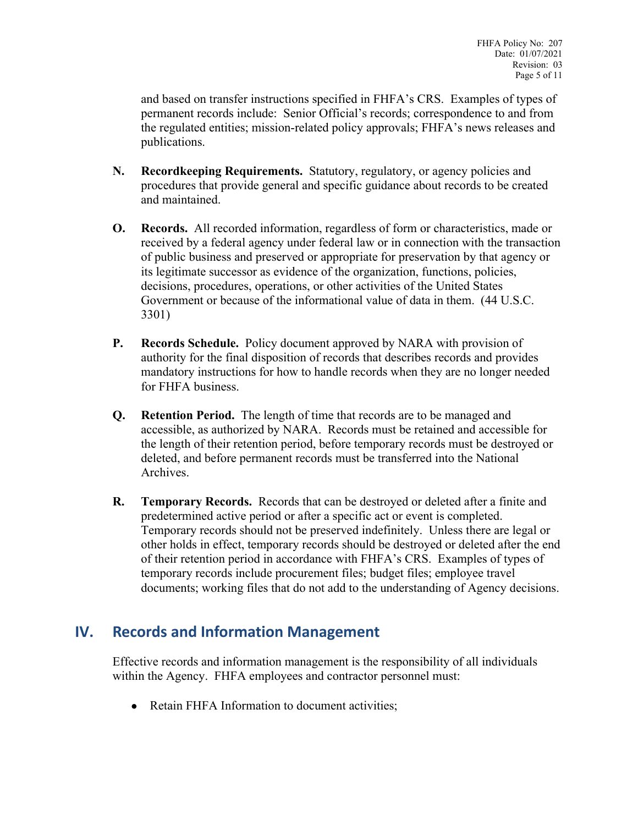and based on transfer instructions specified in FHFA's CRS. Examples of types of permanent records include: Senior Official's records; correspondence to and from the regulated entities; mission-related policy approvals; FHFA's news releases and publications.

- **N. Recordkeeping Requirements.** Statutory, regulatory, or agency policies and procedures that provide general and specific guidance about records to be created and maintained.
- **O. Records.** All recorded information, regardless of form or characteristics, made or received by a federal agency under federal law or in connection with the transaction of public business and preserved or appropriate for preservation by that agency or its legitimate successor as evidence of the organization, functions, policies, decisions, procedures, operations, or other activities of the United States Government or because of the informational value of data in them. (44 U.S.C. 3301)
- **P. Records Schedule.** Policy document approved by NARA with provision of authority for the final disposition of records that describes records and provides mandatory instructions for how to handle records when they are no longer needed for FHFA business.
- **Q. Retention Period.** The length of time that records are to be managed and accessible, as authorized by NARA. Records must be retained and accessible for the length of their retention period, before temporary records must be destroyed or deleted, and before permanent records must be transferred into the National Archives.
- **R. Temporary Records.** Records that can be destroyed or deleted after a finite and predetermined active period or after a specific act or event is completed. Temporary records should not be preserved indefinitely. Unless there are legal or other holds in effect, temporary records should be destroyed or deleted after the end of their retention period in accordance with FHFA's CRS. Examples of types of temporary records include procurement files; budget files; employee travel documents; working files that do not add to the understanding of Agency decisions.

#### <span id="page-4-0"></span>**IV. Records and Information Management**

Effective records and information management is the responsibility of all individuals within the Agency. FHFA employees and contractor personnel must:

• Retain FHFA Information to document activities;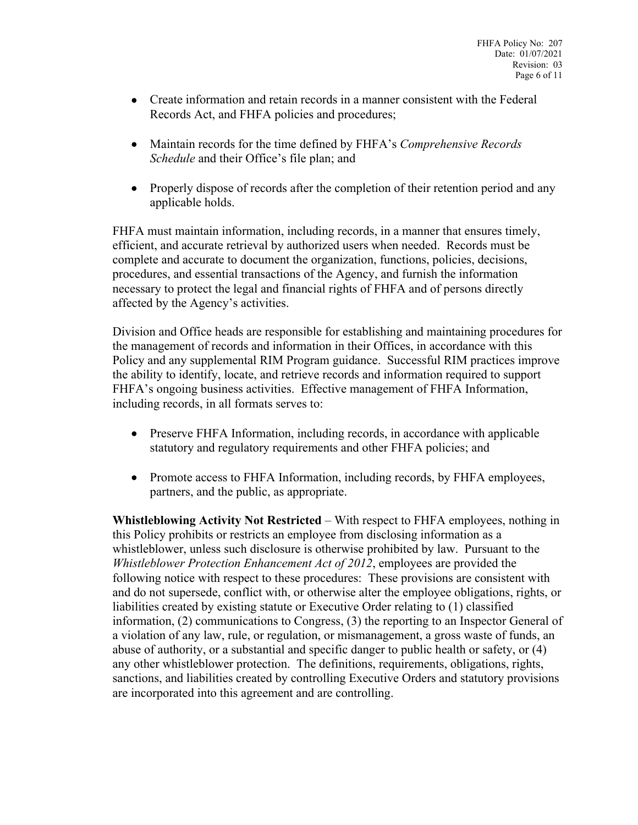- Create information and retain records in a manner consistent with the Federal Records Act, and FHFA policies and procedures;
- Maintain records for the time defined by FHFA's *Comprehensive Records Schedule* and their Office's file plan; and
- Properly dispose of records after the completion of their retention period and any applicable holds.

FHFA must maintain information, including records, in a manner that ensures timely, efficient, and accurate retrieval by authorized users when needed. Records must be complete and accurate to document the organization, functions, policies, decisions, procedures, and essential transactions of the Agency, and furnish the information necessary to protect the legal and financial rights of FHFA and of persons directly affected by the Agency's activities.

Division and Office heads are responsible for establishing and maintaining procedures for the management of records and information in their Offices, in accordance with this Policy and any supplemental RIM Program guidance. Successful RIM practices improve the ability to identify, locate, and retrieve records and information required to support FHFA's ongoing business activities. Effective management of FHFA Information, including records, in all formats serves to:

- Preserve FHFA Information, including records, in accordance with applicable statutory and regulatory requirements and other FHFA policies; and
- Promote access to FHFA Information, including records, by FHFA employees, partners, and the public, as appropriate.

**Whistleblowing Activity Not Restricted** – With respect to FHFA employees, nothing in this Policy prohibits or restricts an employee from disclosing information as a whistleblower, unless such disclosure is otherwise prohibited by law. Pursuant to the *Whistleblower Protection Enhancement Act of 2012*, employees are provided the following notice with respect to these procedures: These provisions are consistent with and do not supersede, conflict with, or otherwise alter the employee obligations, rights, or liabilities created by existing statute or Executive Order relating to (1) classified information, (2) communications to Congress, (3) the reporting to an Inspector General of a violation of any law, rule, or regulation, or mismanagement, a gross waste of funds, an abuse of authority, or a substantial and specific danger to public health or safety, or (4) any other whistleblower protection. The definitions, requirements, obligations, rights, sanctions, and liabilities created by controlling Executive Orders and statutory provisions are incorporated into this agreement and are controlling.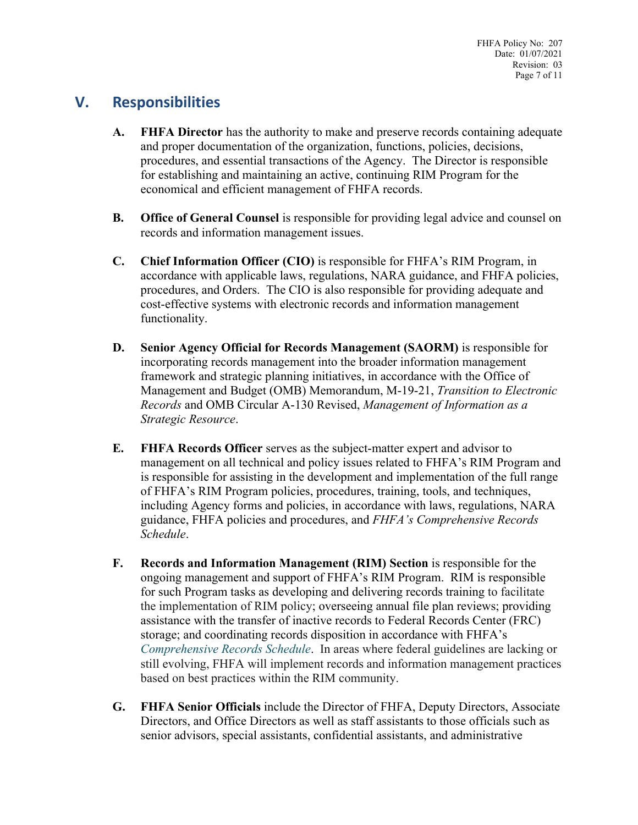FHFA Policy No: 207 Date: 01/07/2021 Revision: 03 Page 7 of 11

### <span id="page-6-0"></span>**V. Responsibilities**

- **A. FHFA Director** has the authority to make and preserve records containing adequate and proper documentation of the organization, functions, policies, decisions, procedures, and essential transactions of the Agency. The Director is responsible for establishing and maintaining an active, continuing RIM Program for the economical and efficient management of FHFA records.
- **B. Office of General Counsel** is responsible for providing legal advice and counsel on records and information management issues.
- **C. Chief Information Officer (CIO)** is responsible for FHFA's RIM Program, in accordance with applicable laws, regulations, NARA guidance, and FHFA policies, procedures, and Orders. The CIO is also responsible for providing adequate and cost-effective systems with electronic records and information management functionality.
- **D. Senior Agency Official for Records Management (SAORM)** is responsible for incorporating records management into the broader information management framework and strategic planning initiatives, in accordance with the Office of Management and Budget (OMB) Memorandum, M-19-21, *Transition to Electronic Records* and OMB Circular A-130 Revised, *Management of Information as a Strategic Resource*.
- **E. FHFA Records Officer** serves as the subject-matter expert and advisor to management on all technical and policy issues related to FHFA's RIM Program and is responsible for assisting in the development and implementation of the full range of FHFA's RIM Program policies, procedures, training, tools, and techniques, including Agency forms and policies, in accordance with laws, regulations, NARA guidance, FHFA policies and procedures, and *FHFA's Comprehensive Records Schedule*.
- **F. Records and Information Management (RIM) Section** is responsible for the ongoing management and support of FHFA's RIM Program. RIM is responsible for such Program tasks as developing and delivering records training to facilitate the implementation of RIM policy; overseeing annual file plan reviews; providing assistance with the transfer of inactive records to Federal Records Center (FRC) storage; and coordinating records disposition in accordance with FHFA's *[Comprehensive Records Schedule](http://intranet.fhfa.gov/downloader.ashx?objectid=3492095)*. In areas where federal guidelines are lacking or still evolving, FHFA will implement records and information management practices based on best practices within the RIM community.
- **G. FHFA Senior Officials** include the Director of FHFA, Deputy Directors, Associate Directors, and Office Directors as well as staff assistants to those officials such as senior advisors, special assistants, confidential assistants, and administrative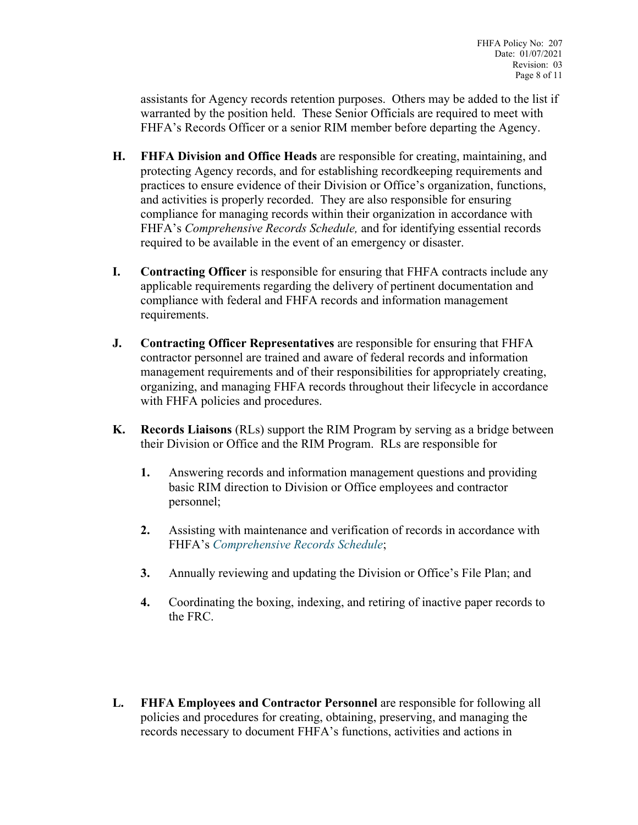assistants for Agency records retention purposes. Others may be added to the list if warranted by the position held. These Senior Officials are required to meet with FHFA's Records Officer or a senior RIM member before departing the Agency.

- **H. FHFA Division and Office Heads** are responsible for creating, maintaining, and protecting Agency records, and for establishing recordkeeping requirements and practices to ensure evidence of their Division or Office's organization, functions, and activities is properly recorded. They are also responsible for ensuring compliance for managing records within their organization in accordance with FHFA's *Comprehensive Records Schedule,* and for identifying essential records required to be available in the event of an emergency or disaster.
- **I. Contracting Officer** is responsible for ensuring that FHFA contracts include any applicable requirements regarding the delivery of pertinent documentation and compliance with federal and FHFA records and information management requirements.
- **J. Contracting Officer Representatives** are responsible for ensuring that FHFA contractor personnel are trained and aware of federal records and information management requirements and of their responsibilities for appropriately creating, organizing, and managing FHFA records throughout their lifecycle in accordance with FHFA policies and procedures.
- **K. Records Liaisons** (RLs) support the RIM Program by serving as a bridge between their Division or Office and the RIM Program. RLs are responsible for
	- **1.** Answering records and information management questions and providing basic RIM direction to Division or Office employees and contractor personnel;
	- **2.** Assisting with maintenance and verification of records in accordance with FHFA's *[Comprehensive Records Schedule](http://intranet.fhfa.gov/downloader.ashx?objectid=3492095)*;
	- **3.** Annually reviewing and updating the Division or Office's File Plan; and
	- **4.** Coordinating the boxing, indexing, and retiring of inactive paper records to the FRC.
- **L. FHFA Employees and Contractor Personnel** are responsible for following all policies and procedures for creating, obtaining, preserving, and managing the records necessary to document FHFA's functions, activities and actions in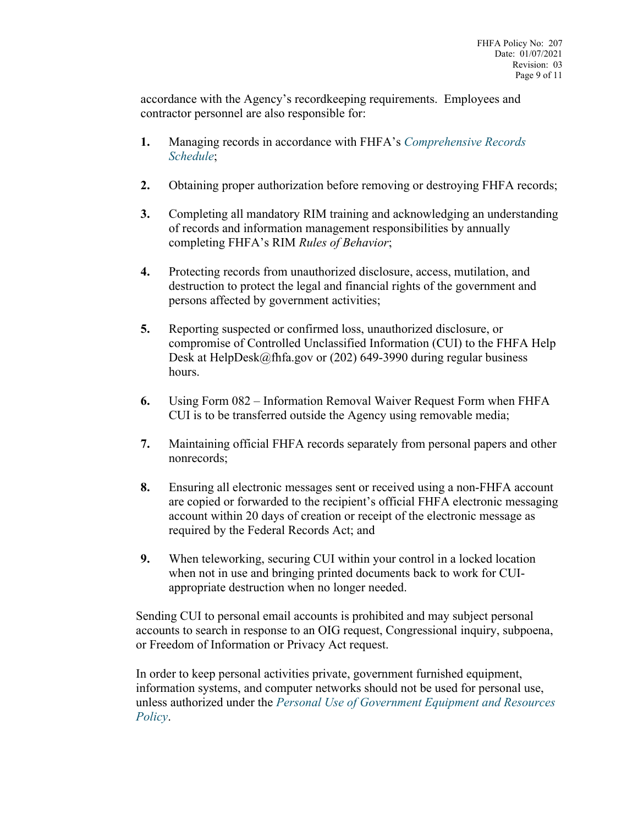accordance with the Agency's recordkeeping requirements. Employees and contractor personnel are also responsible for:

- **1.** Managing records in accordance with FHFA's *[Comprehensive Records](http://intranet.fhfa.gov/downloader.ashx?objectid=3492095)  [Schedule](http://intranet.fhfa.gov/downloader.ashx?objectid=3492095)*;
- **2.** Obtaining proper authorization before removing or destroying FHFA records;
- **3.** Completing all mandatory RIM training and acknowledging an understanding of records and information management responsibilities by annually completing FHFA's RIM *Rules of Behavior*;
- **4.** Protecting records from unauthorized disclosure, access, mutilation, and destruction to protect the legal and financial rights of the government and persons affected by government activities;
- **5.** Reporting suspected or confirmed loss, unauthorized disclosure, or compromise of Controlled Unclassified Information (CUI) to the FHFA Help Desk at HelpDesk@fhfa.gov or (202) 649-3990 during regular business hours.
- **6.** [Using Form 082](http://intranet.fhfa.gov/downloader.ashx?objectid=4169975) Information Removal Waiver Request Form when FHFA CUI is to be transferred outside the Agency using removable media;
- **7.** Maintaining official FHFA records separately from personal papers and other nonrecords;
- **8.** Ensuring all electronic messages sent or received using a non-FHFA account are copied or forwarded to the recipient's official FHFA electronic messaging account within 20 days of creation or receipt of the electronic message as required by the Federal Records Act; and
- **9.** When teleworking, securing CUI within your control in a locked location when not in use and bringing printed documents back to work for CUIappropriate destruction when no longer needed.

Sending CUI to personal email accounts is prohibited and may subject personal accounts to search in response to an OIG request, Congressional inquiry, subpoena, or Freedom of Information or Privacy Act request.

In order to keep personal activities private, government furnished equipment, information systems, and computer networks should not be used for personal use, unless authorized under the *[Personal Use of Government Equipment and Resources](http://intranet.fhfa.gov/downloader.ashx?objectid=2286025)  [Policy](http://intranet.fhfa.gov/downloader.ashx?objectid=2286025)*.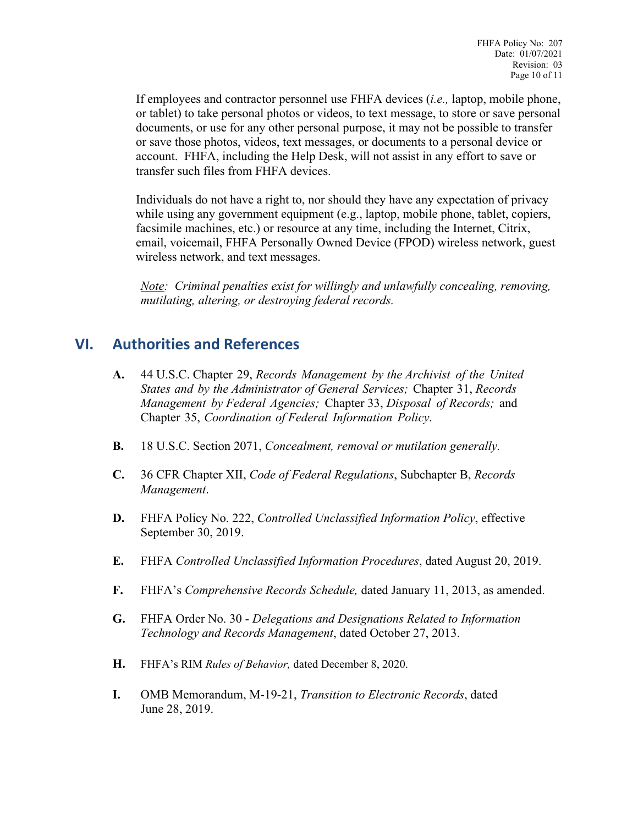If employees and contractor personnel use FHFA devices (*i.e.,* laptop, mobile phone, or tablet) to take personal photos or videos, to text message, to store or save personal documents, or use for any other personal purpose, it may not be possible to transfer or save those photos, videos, text messages, or documents to a personal device or account. FHFA, including the Help Desk, will not assist in any effort to save or transfer such files from FHFA devices.

Individuals do not have a right to, nor should they have any expectation of privacy while using any government equipment (e.g., laptop, mobile phone, tablet, copiers, facsimile machines, etc.) or resource at any time, including the Internet, Citrix, email, voicemail, FHFA Personally Owned Device (FPOD) wireless network, guest wireless network, and text messages.

*Note: Criminal penalties exist for willingly and unlawfully concealing, removing, mutilating, altering, or destroying federal records.*

#### <span id="page-9-0"></span>**VI. Authorities and References**

- **A.** 44 U.S.C. Chapter 29, *Records Management by the Archivist of the United States and by the Administrator of General Services;* Chapter 31, *Records Management by Federal Agencies;* Chapter 33, *Disposal of Records;* and Chapter 35, *Coordination of Federal Information Policy.*
- **B.** 18 U.S.C. Section 2071, *Concealment, removal or mutilation generally.*
- **C.** 36 CFR Chapter XII, *Code of Federal Regulations*, Subchapter B, *Records Management*.
- **D.** FHFA Policy No. 222, *Controlled Unclassified Information Policy*, effective September 30, 2019.
- **E.** FHFA *Controlled Unclassified Information Procedures*, dated August 20, 2019.
- **F.** FHFA's *Comprehensive Records Schedule,* dated January 11, 2013, as amended.
- **G.** FHFA Order No. 30 *Delegations and Designations Related to Information Technology and Records Management*, dated October 27, 2013.
- **H.** FHFA's RIM *Rules of Behavior,* dated December 8, 2020.
- **I.** OMB Memorandum, M-19-21, *Transition to Electronic Records*, dated June 28, 2019.